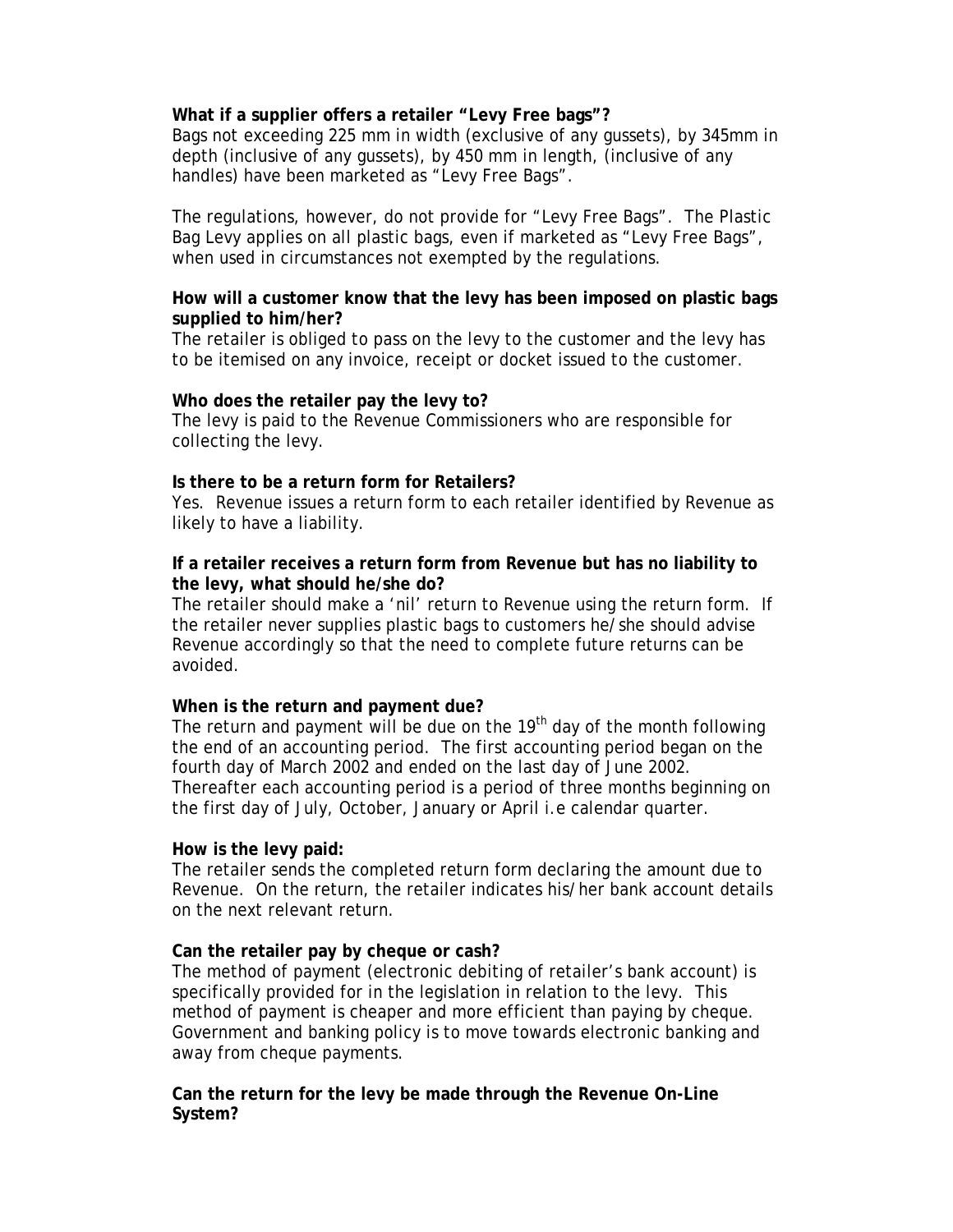#### **What if a supplier offers a retailer "Levy Free bags"?**

Bags not exceeding 225 mm in width (exclusive of any gussets), by 345mm in depth (inclusive of any gussets), by 450 mm in length, (inclusive of any handles) have been marketed as "Levy Free Bags".

The regulations, however, do not provide for "Levy Free Bags". The Plastic Bag Levy applies on all plastic bags, even if marketed as "Levy Free Bags", when used in circumstances not exempted by the regulations.

# **How will a customer know that the levy has been imposed on plastic bags supplied to him/her?**

The retailer is obliged to pass on the levy to the customer and the levy has to be itemised on any invoice, receipt or docket issued to the customer.

# **Who does the retailer pay the levy to?**

The levy is paid to the Revenue Commissioners who are responsible for collecting the levy.

#### **Is there to be a return form for Retailers?**

Yes. Revenue issues a return form to each retailer identified by Revenue as likely to have a liability.

# **If a retailer receives a return form from Revenue but has no liability to the levy, what should he/she do?**

The retailer should make a 'nil' return to Revenue using the return form. If the retailer never supplies plastic bags to customers he/she should advise Revenue accordingly so that the need to complete future returns can be avoided.

#### **When is the return and payment due?**

The return and payment will be due on the  $19<sup>th</sup>$  day of the month following the end of an accounting period. The first accounting period began on the fourth day of March 2002 and ended on the last day of June 2002. Thereafter each accounting period is a period of three months beginning on the first day of July, October, January or April i.e calendar quarter.

#### **How is the levy paid:**

The retailer sends the completed return form declaring the amount due to Revenue. On the return, the retailer indicates his/her bank account details on the next relevant return.

#### **Can the retailer pay by cheque or cash?**

The method of payment (electronic debiting of retailer's bank account) is specifically provided for in the legislation in relation to the levy. This method of payment is cheaper and more efficient than paying by cheque. Government and banking policy is to move towards electronic banking and away from cheque payments.

# **Can the return for the levy be made through the Revenue On-Line System?**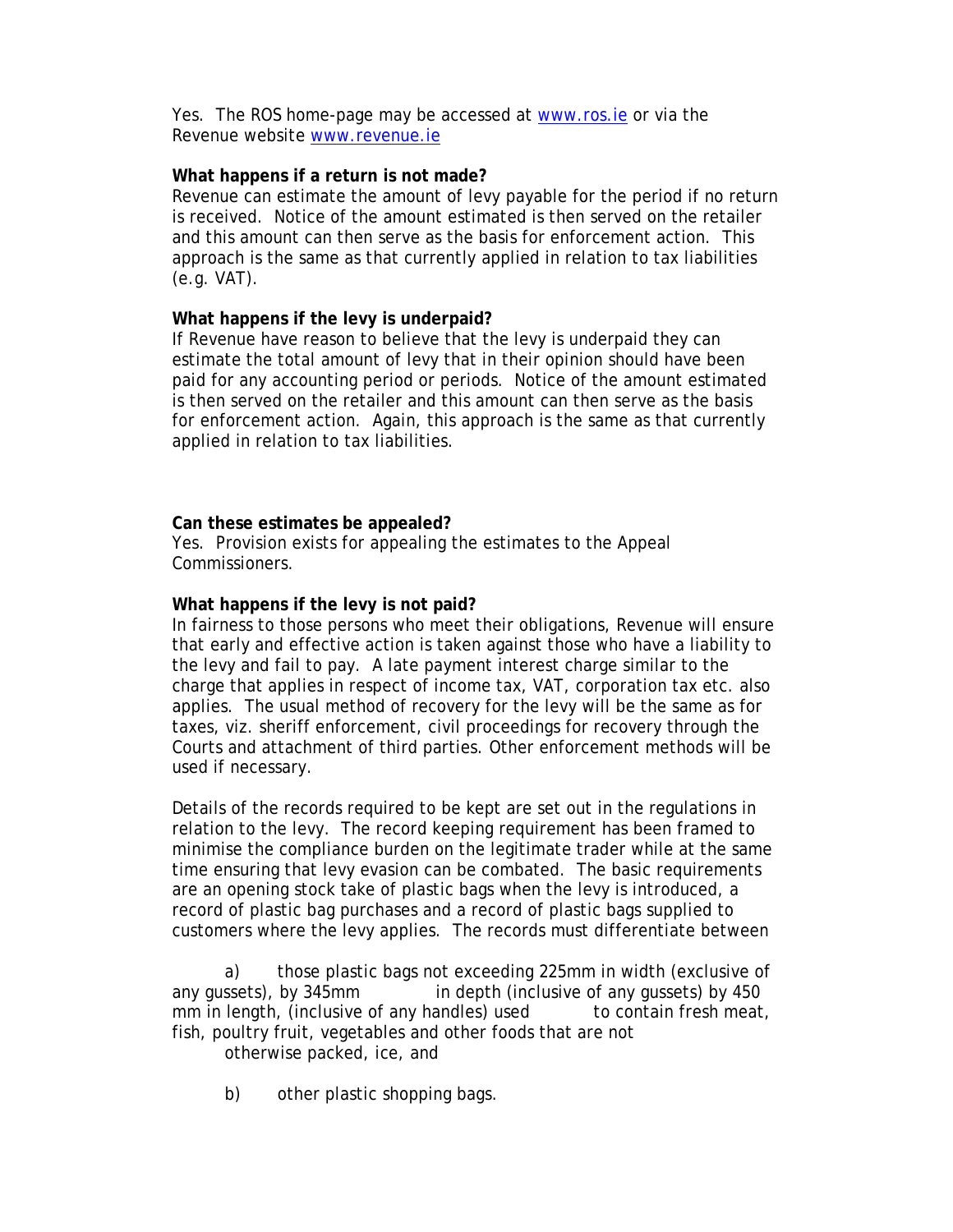Yes. The ROS home-page may be accessed at www.ros.ie or via the Revenue website www.revenue.ie

### **What happens if a return is not made?**

Revenue can estimate the amount of levy payable for the period if no return is received. Notice of the amount estimated is then served on the retailer and this amount can then serve as the basis for enforcement action. This approach is the same as that currently applied in relation to tax liabilities (e.g. VAT).

# **What happens if the levy is underpaid?**

If Revenue have reason to believe that the levy is underpaid they can estimate the total amount of levy that in their opinion should have been paid for any accounting period or periods. Notice of the amount estimated is then served on the retailer and this amount can then serve as the basis for enforcement action. Again, this approach is the same as that currently applied in relation to tax liabilities.

# **Can these estimates be appealed?**

Yes. Provision exists for appealing the estimates to the Appeal Commissioners.

# **What happens if the levy is not paid?**

In fairness to those persons who meet their obligations, Revenue will ensure that early and effective action is taken against those who have a liability to the levy and fail to pay. A late payment interest charge similar to the charge that applies in respect of income tax, VAT, corporation tax etc. also applies. The usual method of recovery for the levy will be the same as for taxes, viz. sheriff enforcement, civil proceedings for recovery through the Courts and attachment of third parties. Other enforcement methods will be used if necessary.

Details of the records required to be kept are set out in the regulations in relation to the levy. The record keeping requirement has been framed to minimise the compliance burden on the legitimate trader while at the same time ensuring that levy evasion can be combated. The basic requirements are an opening stock take of plastic bags when the levy is introduced, a record of plastic bag purchases and a record of plastic bags supplied to customers where the levy applies. The records must differentiate between

 a) those plastic bags not exceeding 225mm in width (exclusive of any gussets), by 345mm in depth (inclusive of any gussets) by 450 mm in length, (inclusive of any handles) used to contain fresh meat, fish, poultry fruit, vegetables and other foods that are not

otherwise packed, ice, and

b) other plastic shopping bags.